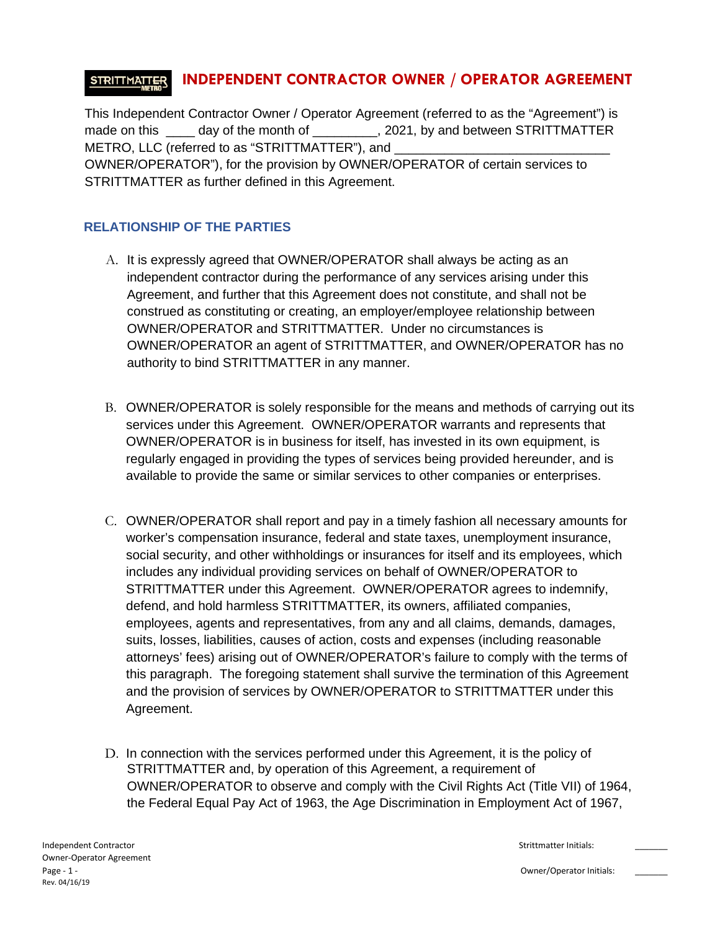#### **INDEPENDENT CONTRACTOR OWNER / OPERATOR AGREEMENT STRITTMATTER**

This Independent Contractor Owner / Operator Agreement (referred to as the "Agreement") is made on this day of the month of  $\qquad \qquad$ , 2021, by and between STRITTMATTER METRO, LLC (referred to as "STRITTMATTER"), and OWNER/OPERATOR"), for the provision by OWNER/OPERATOR of certain services to STRITTMATTER as further defined in this Agreement.

### **RELATIONSHIP OF THE PARTIES**

- A. It is expressly agreed that OWNER/OPERATOR shall always be acting as an independent contractor during the performance of any services arising under this Agreement, and further that this Agreement does not constitute, and shall not be construed as constituting or creating, an employer/employee relationship between OWNER/OPERATOR and STRITTMATTER. Under no circumstances is OWNER/OPERATOR an agent of STRITTMATTER, and OWNER/OPERATOR has no authority to bind STRITTMATTER in any manner.
- B. OWNER/OPERATOR is solely responsible for the means and methods of carrying out its services under this Agreement. OWNER/OPERATOR warrants and represents that OWNER/OPERATOR is in business for itself, has invested in its own equipment, is regularly engaged in providing the types of services being provided hereunder, and is available to provide the same or similar services to other companies or enterprises.
- C. OWNER/OPERATOR shall report and pay in a timely fashion all necessary amounts for worker's compensation insurance, federal and state taxes, unemployment insurance, social security, and other withholdings or insurances for itself and its employees, which includes any individual providing services on behalf of OWNER/OPERATOR to STRITTMATTER under this Agreement. OWNER/OPERATOR agrees to indemnify, defend, and hold harmless STRITTMATTER, its owners, affiliated companies, employees, agents and representatives, from any and all claims, demands, damages, suits, losses, liabilities, causes of action, costs and expenses (including reasonable attorneys' fees) arising out of OWNER/OPERATOR's failure to comply with the terms of this paragraph. The foregoing statement shall survive the termination of this Agreement and the provision of services by OWNER/OPERATOR to STRITTMATTER under this Agreement.
- D. In connection with the services performed under this Agreement, it is the policy of STRITTMATTER and, by operation of this Agreement, a requirement of OWNER/OPERATOR to observe and comply with the Civil Rights Act (Title VII) of 1964, the Federal Equal Pay Act of 1963, the Age Discrimination in Employment Act of 1967,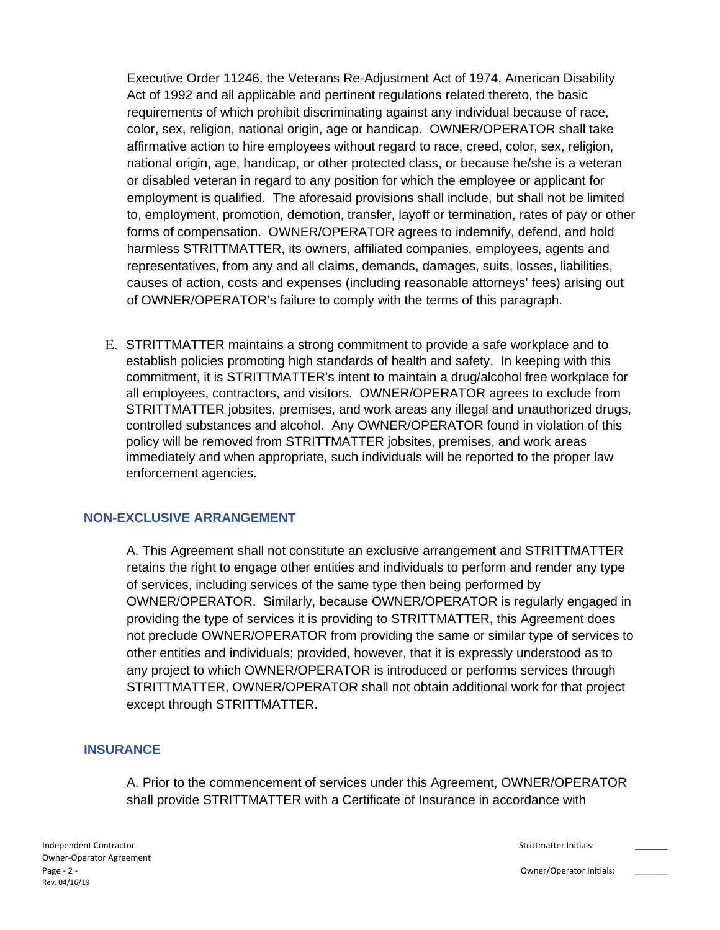Executive Order 11246, the Veterans Re-Adjustment Act of 1974, American Disability Act of 1992 and all applicable and pertinent regulations related thereto, the basic requirements of which prohibit discriminating against any individual because of race, color, sex, religion, national origin, age or handicap. OWNER/OPERATOR shall take affirmative action to hire employees without regard to race, creed, color, sex, religion, national origin, age, handicap, or other protected class, or because he/she is a veteran or disabled veteran in regard to any position for which the employee or applicant for employment is qualified. The aforesaid provisions shall include, but shall not be limited to, employment, promotion, demotion, transfer, layoff or termination, rates of pay or other forms of compensation. OWNER/OPERATOR agrees to indemnify, defend, and hold harmless STRITTMATTER, its owners, affiliated companies, employees, agents and representatives, from any and all claims, demands, damages, suits, losses, liabilities, causes of action, costs and expenses (including reasonable attorneys' fees) arising out of OWNER/OPERATOR's failure to comply with the terms of this paragraph.

E. STRITTMATTER maintains a strong commitment to provide a safe workplace and to establish policies promoting high standards of health and safety. In keeping with this commitment, it is STRITTMATTER's intent to maintain a drug/alcohol free workplace for all employees, contractors, and visitors. OWNER/OPERATOR agrees to exclude from STRITTMATTER jobsites, premises, and work areas any illegal and unauthorized drugs, controlled substances and alcohol. Any OWNER/OPERATOR found in violation of this policy will be removed from STRITTMATTER jobsites, premises, and work areas immediately and when appropriate, such individuals will be reported to the proper law enforcement agencies.

#### **NON-EXCLUSIVE ARRANGEMENT**

A. This Agreement shall not constitute an exclusive arrangement and STRITTMATTER retains the right to engage other entities and individuals to perform and render any type of services, including services of the same type then being performed by OWNER/OPERATOR. Similarly, because OWNER/OPERATOR is regularly engaged in providing the type of services it is providing to STRITTMATTER, this Agreement does not preclude OWNER/OPERATOR from providing the same or similar type of services to other entities and individuals; provided, however, that it is expressly understood as to any project to which OWNER/OPERATOR is introduced or performs services through STRITTMATTER, OWNER/OPERATOR shall not obtain additional work for that project except through STRITTMATTER.

#### **INSURANCE**

A. Prior to the commencement of services under this Agreement, OWNER/OPERATOR shall provide STRITTMATTER with a Certificate of Insurance in accordance with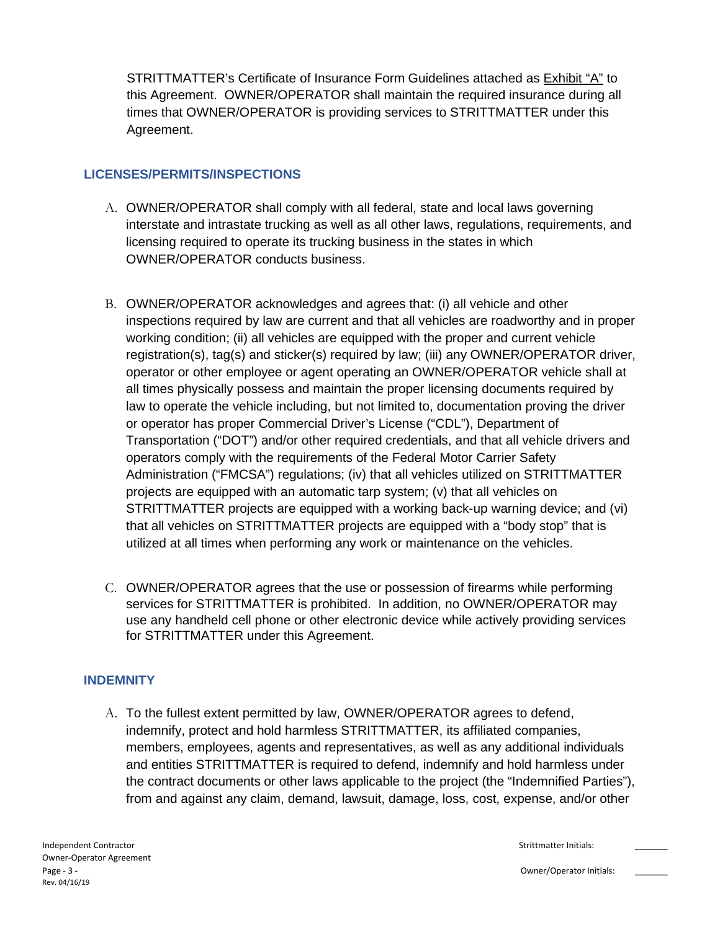STRITTMATTER's Certificate of Insurance Form Guidelines attached as Exhibit "A" to this Agreement. OWNER/OPERATOR shall maintain the required insurance during all times that OWNER/OPERATOR is providing services to STRITTMATTER under this Agreement.

### **LICENSES/PERMITS/INSPECTIONS**

- A. OWNER/OPERATOR shall comply with all federal, state and local laws governing interstate and intrastate trucking as well as all other laws, regulations, requirements, and licensing required to operate its trucking business in the states in which OWNER/OPERATOR conducts business.
- B. OWNER/OPERATOR acknowledges and agrees that: (i) all vehicle and other inspections required by law are current and that all vehicles are roadworthy and in proper working condition; (ii) all vehicles are equipped with the proper and current vehicle registration(s), tag(s) and sticker(s) required by law; (iii) any OWNER/OPERATOR driver, operator or other employee or agent operating an OWNER/OPERATOR vehicle shall at all times physically possess and maintain the proper licensing documents required by law to operate the vehicle including, but not limited to, documentation proving the driver or operator has proper Commercial Driver's License ("CDL"), Department of Transportation ("DOT") and/or other required credentials, and that all vehicle drivers and operators comply with the requirements of the Federal Motor Carrier Safety Administration ("FMCSA") regulations; (iv) that all vehicles utilized on STRITTMATTER projects are equipped with an automatic tarp system; (v) that all vehicles on STRITTMATTER projects are equipped with a working back-up warning device; and (vi) that all vehicles on STRITTMATTER projects are equipped with a "body stop" that is utilized at all times when performing any work or maintenance on the vehicles.
- C. OWNER/OPERATOR agrees that the use or possession of firearms while performing services for STRITTMATTER is prohibited. In addition, no OWNER/OPERATOR may use any handheld cell phone or other electronic device while actively providing services for STRITTMATTER under this Agreement.

### **INDEMNITY**

A. To the fullest extent permitted by law, OWNER/OPERATOR agrees to defend, indemnify, protect and hold harmless STRITTMATTER, its affiliated companies, members, employees, agents and representatives, as well as any additional individuals and entities STRITTMATTER is required to defend, indemnify and hold harmless under the contract documents or other laws applicable to the project (the "Indemnified Parties"), from and against any claim, demand, lawsuit, damage, loss, cost, expense, and/or other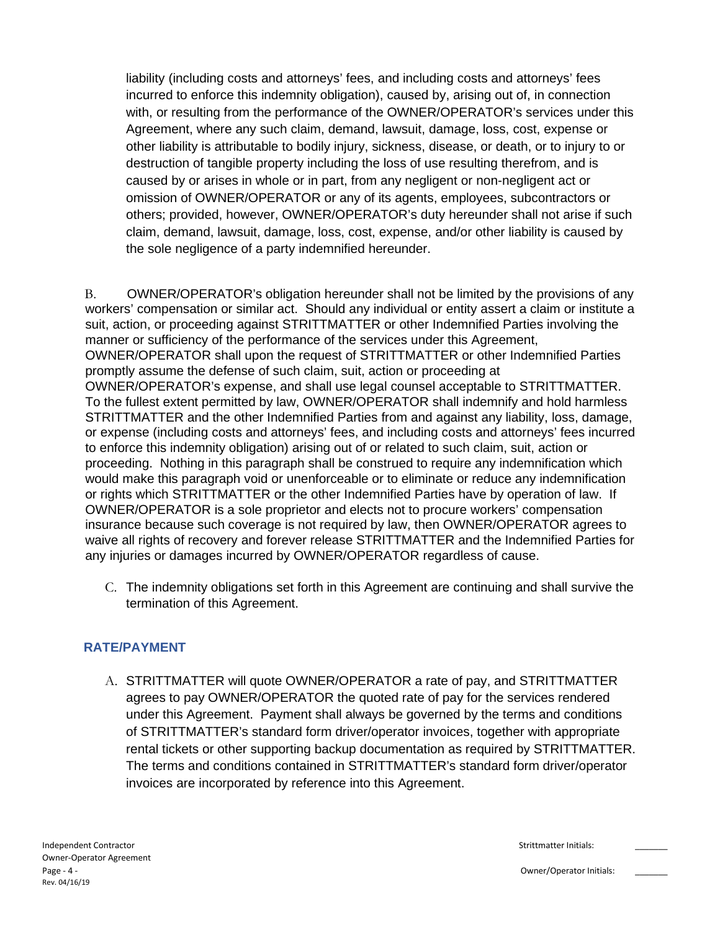liability (including costs and attorneys' fees, and including costs and attorneys' fees incurred to enforce this indemnity obligation), caused by, arising out of, in connection with, or resulting from the performance of the OWNER/OPERATOR's services under this Agreement, where any such claim, demand, lawsuit, damage, loss, cost, expense or other liability is attributable to bodily injury, sickness, disease, or death, or to injury to or destruction of tangible property including the loss of use resulting therefrom, and is caused by or arises in whole or in part, from any negligent or non-negligent act or omission of OWNER/OPERATOR or any of its agents, employees, subcontractors or others; provided, however, OWNER/OPERATOR's duty hereunder shall not arise if such claim, demand, lawsuit, damage, loss, cost, expense, and/or other liability is caused by the sole negligence of a party indemnified hereunder.

B. OWNER/OPERATOR's obligation hereunder shall not be limited by the provisions of any workers' compensation or similar act. Should any individual or entity assert a claim or institute a suit, action, or proceeding against STRITTMATTER or other Indemnified Parties involving the manner or sufficiency of the performance of the services under this Agreement, OWNER/OPERATOR shall upon the request of STRITTMATTER or other Indemnified Parties promptly assume the defense of such claim, suit, action or proceeding at OWNER/OPERATOR's expense, and shall use legal counsel acceptable to STRITTMATTER. To the fullest extent permitted by law, OWNER/OPERATOR shall indemnify and hold harmless STRITTMATTER and the other Indemnified Parties from and against any liability, loss, damage, or expense (including costs and attorneys' fees, and including costs and attorneys' fees incurred to enforce this indemnity obligation) arising out of or related to such claim, suit, action or proceeding. Nothing in this paragraph shall be construed to require any indemnification which would make this paragraph void or unenforceable or to eliminate or reduce any indemnification or rights which STRITTMATTER or the other Indemnified Parties have by operation of law. If OWNER/OPERATOR is a sole proprietor and elects not to procure workers' compensation insurance because such coverage is not required by law, then OWNER/OPERATOR agrees to waive all rights of recovery and forever release STRITTMATTER and the Indemnified Parties for any injuries or damages incurred by OWNER/OPERATOR regardless of cause.

C. The indemnity obligations set forth in this Agreement are continuing and shall survive the termination of this Agreement.

### **RATE/PAYMENT**

A. STRITTMATTER will quote OWNER/OPERATOR a rate of pay, and STRITTMATTER agrees to pay OWNER/OPERATOR the quoted rate of pay for the services rendered under this Agreement. Payment shall always be governed by the terms and conditions of STRITTMATTER's standard form driver/operator invoices, together with appropriate rental tickets or other supporting backup documentation as required by STRITTMATTER. The terms and conditions contained in STRITTMATTER's standard form driver/operator invoices are incorporated by reference into this Agreement.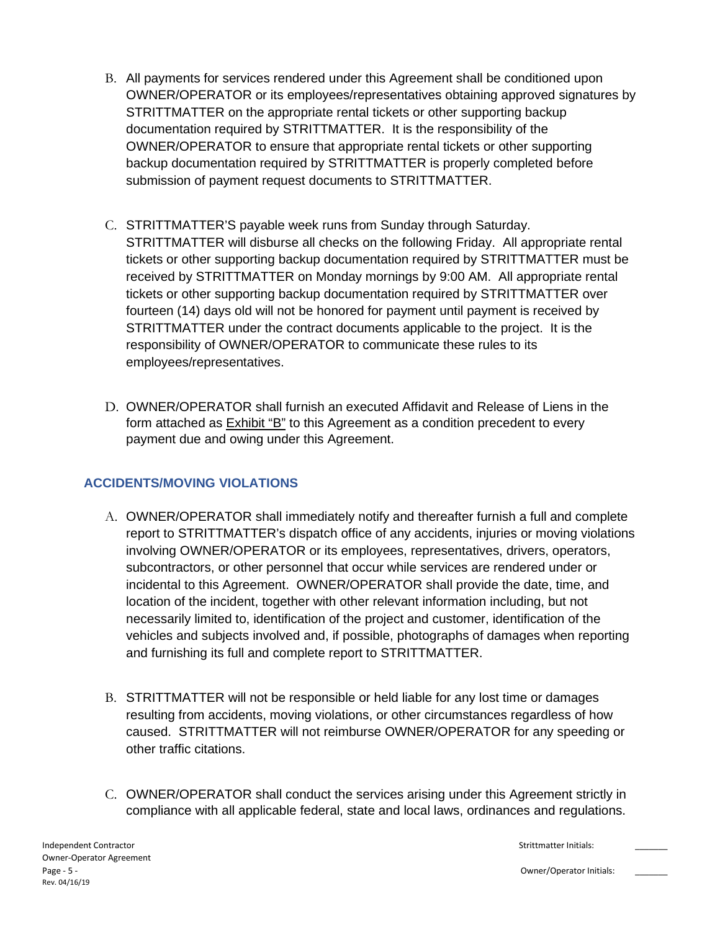- B. All payments for services rendered under this Agreement shall be conditioned upon OWNER/OPERATOR or its employees/representatives obtaining approved signatures by STRITTMATTER on the appropriate rental tickets or other supporting backup documentation required by STRITTMATTER. It is the responsibility of the OWNER/OPERATOR to ensure that appropriate rental tickets or other supporting backup documentation required by STRITTMATTER is properly completed before submission of payment request documents to STRITTMATTER.
- C. STRITTMATTER'S payable week runs from Sunday through Saturday. STRITTMATTER will disburse all checks on the following Friday. All appropriate rental tickets or other supporting backup documentation required by STRITTMATTER must be received by STRITTMATTER on Monday mornings by 9:00 AM. All appropriate rental tickets or other supporting backup documentation required by STRITTMATTER over fourteen (14) days old will not be honored for payment until payment is received by STRITTMATTER under the contract documents applicable to the project. It is the responsibility of OWNER/OPERATOR to communicate these rules to its employees/representatives.
- D. OWNER/OPERATOR shall furnish an executed Affidavit and Release of Liens in the form attached as Exhibit "B" to this Agreement as a condition precedent to every payment due and owing under this Agreement.

### **ACCIDENTS/MOVING VIOLATIONS**

- A. OWNER/OPERATOR shall immediately notify and thereafter furnish a full and complete report to STRITTMATTER's dispatch office of any accidents, injuries or moving violations involving OWNER/OPERATOR or its employees, representatives, drivers, operators, subcontractors, or other personnel that occur while services are rendered under or incidental to this Agreement. OWNER/OPERATOR shall provide the date, time, and location of the incident, together with other relevant information including, but not necessarily limited to, identification of the project and customer, identification of the vehicles and subjects involved and, if possible, photographs of damages when reporting and furnishing its full and complete report to STRITTMATTER.
- B. STRITTMATTER will not be responsible or held liable for any lost time or damages resulting from accidents, moving violations, or other circumstances regardless of how caused. STRITTMATTER will not reimburse OWNER/OPERATOR for any speeding or other traffic citations.
- C. OWNER/OPERATOR shall conduct the services arising under this Agreement strictly in compliance with all applicable federal, state and local laws, ordinances and regulations.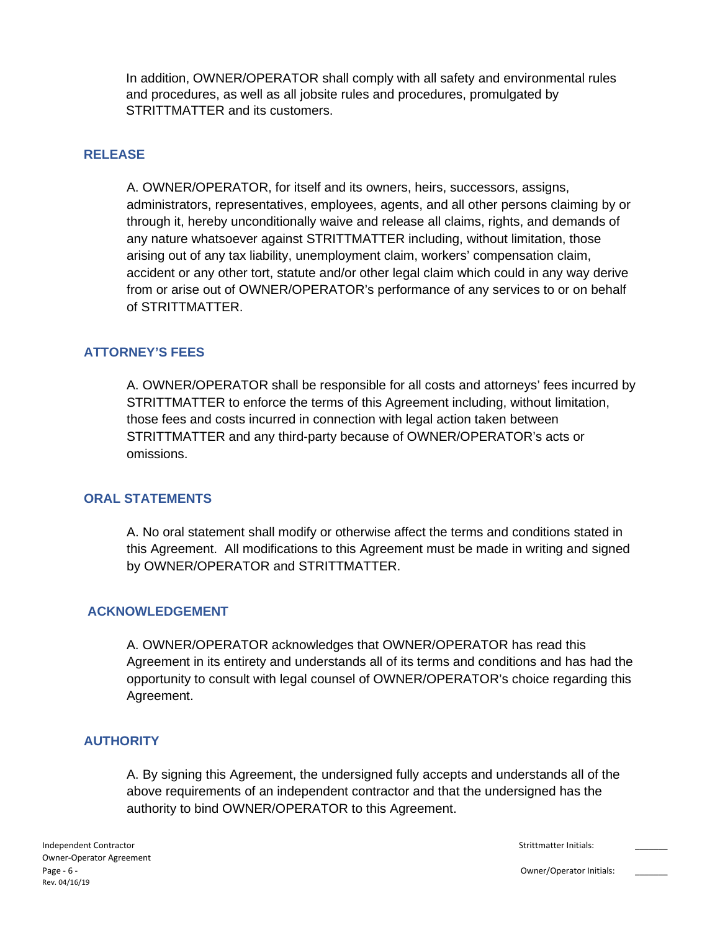In addition, OWNER/OPERATOR shall comply with all safety and environmental rules and procedures, as well as all jobsite rules and procedures, promulgated by STRITTMATTER and its customers.

#### **RELEASE**

A. OWNER/OPERATOR, for itself and its owners, heirs, successors, assigns, administrators, representatives, employees, agents, and all other persons claiming by or through it, hereby unconditionally waive and release all claims, rights, and demands of any nature whatsoever against STRITTMATTER including, without limitation, those arising out of any tax liability, unemployment claim, workers' compensation claim, accident or any other tort, statute and/or other legal claim which could in any way derive from or arise out of OWNER/OPERATOR's performance of any services to or on behalf of STRITTMATTER.

#### **ATTORNEY'S FEES**

A. OWNER/OPERATOR shall be responsible for all costs and attorneys' fees incurred by STRITTMATTER to enforce the terms of this Agreement including, without limitation, those fees and costs incurred in connection with legal action taken between STRITTMATTER and any third-party because of OWNER/OPERATOR's acts or omissions.

#### **ORAL STATEMENTS**

A. No oral statement shall modify or otherwise affect the terms and conditions stated in this Agreement. All modifications to this Agreement must be made in writing and signed by OWNER/OPERATOR and STRITTMATTER.

#### **ACKNOWLEDGEMENT**

A. OWNER/OPERATOR acknowledges that OWNER/OPERATOR has read this Agreement in its entirety and understands all of its terms and conditions and has had the opportunity to consult with legal counsel of OWNER/OPERATOR's choice regarding this Agreement.

#### **AUTHORITY**

A. By signing this Agreement, the undersigned fully accepts and understands all of the above requirements of an independent contractor and that the undersigned has the authority to bind OWNER/OPERATOR to this Agreement.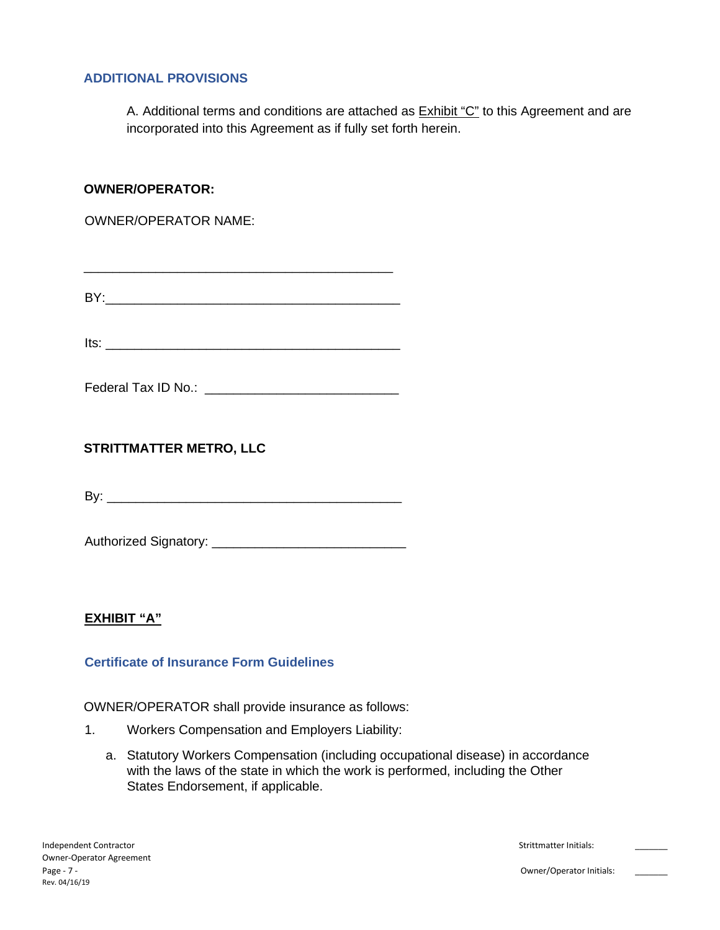### **ADDITIONAL PROVISIONS**

A. Additional terms and conditions are attached as Exhibit "C" to this Agreement and are incorporated into this Agreement as if fully set forth herein.

### **OWNER/OPERATOR:**

OWNER/OPERATOR NAME:

BY:\_\_\_\_\_\_\_\_\_\_\_\_\_\_\_\_\_\_\_\_\_\_\_\_\_\_\_\_\_\_\_\_\_\_\_\_\_\_\_\_\_

 $Its:$ 

Federal Tax ID No.: \_\_\_\_\_\_\_\_\_\_\_\_\_\_\_\_\_\_\_\_\_\_\_\_\_\_\_

**STRITTMATTER METRO, LLC**

By: \_\_\_\_\_\_\_\_\_\_\_\_\_\_\_\_\_\_\_\_\_\_\_\_\_\_\_\_\_\_\_\_\_\_\_\_\_\_\_\_\_

Authorized Signatory: \_\_\_\_\_\_\_\_\_\_\_\_\_\_\_\_\_\_\_\_\_\_\_\_\_\_\_

### **EXHIBIT "A"**

### **Certificate of Insurance Form Guidelines**

OWNER/OPERATOR shall provide insurance as follows:

- 1. Workers Compensation and Employers Liability:
	- a. Statutory Workers Compensation (including occupational disease) in accordance with the laws of the state in which the work is performed, including the Other States Endorsement, if applicable.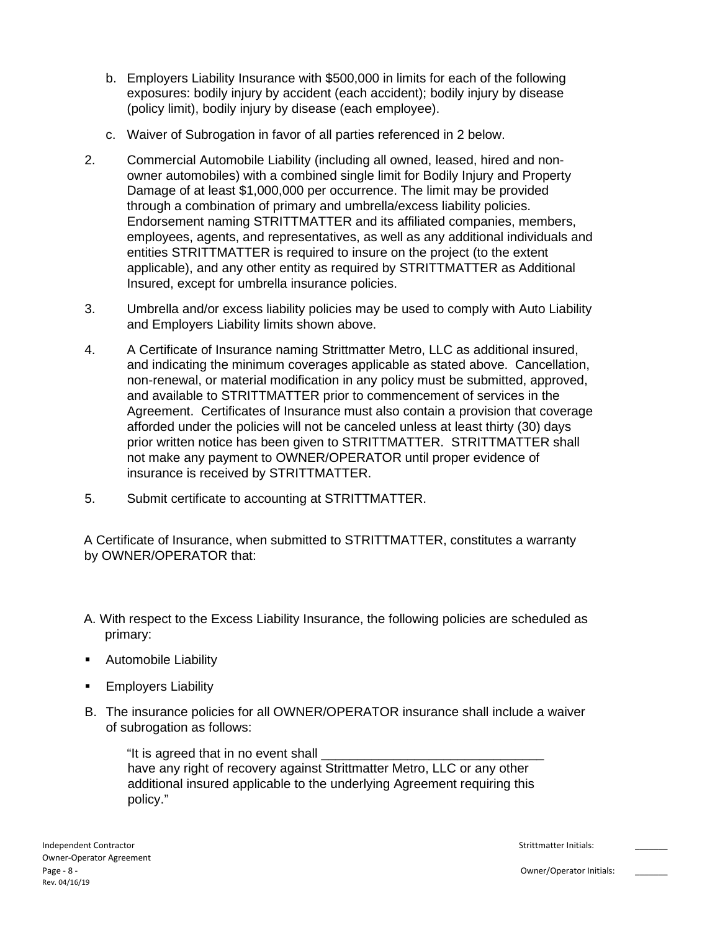- b. Employers Liability Insurance with \$500,000 in limits for each of the following exposures: bodily injury by accident (each accident); bodily injury by disease (policy limit), bodily injury by disease (each employee).
- c. Waiver of Subrogation in favor of all parties referenced in 2 below.
- 2. Commercial Automobile Liability (including all owned, leased, hired and nonowner automobiles) with a combined single limit for Bodily Injury and Property Damage of at least \$1,000,000 per occurrence. The limit may be provided through a combination of primary and umbrella/excess liability policies. Endorsement naming STRITTMATTER and its affiliated companies, members, employees, agents, and representatives, as well as any additional individuals and entities STRITTMATTER is required to insure on the project (to the extent applicable), and any other entity as required by STRITTMATTER as Additional Insured, except for umbrella insurance policies.
- 3. Umbrella and/or excess liability policies may be used to comply with Auto Liability and Employers Liability limits shown above.
- 4. A Certificate of Insurance naming Strittmatter Metro, LLC as additional insured, and indicating the minimum coverages applicable as stated above. Cancellation, non-renewal, or material modification in any policy must be submitted, approved, and available to STRITTMATTER prior to commencement of services in the Agreement. Certificates of Insurance must also contain a provision that coverage afforded under the policies will not be canceled unless at least thirty (30) days prior written notice has been given to STRITTMATTER. STRITTMATTER shall not make any payment to OWNER/OPERATOR until proper evidence of insurance is received by STRITTMATTER.
- 5. Submit certificate to accounting at STRITTMATTER.

A Certificate of Insurance, when submitted to STRITTMATTER, constitutes a warranty by OWNER/OPERATOR that:

- A. With respect to the Excess Liability Insurance, the following policies are scheduled as primary:
- Automobile Liability
- Employers Liability
- B. The insurance policies for all OWNER/OPERATOR insurance shall include a waiver of subrogation as follows:

"It is agreed that in no event shall have any right of recovery against Strittmatter Metro, LLC or any other additional insured applicable to the underlying Agreement requiring this policy."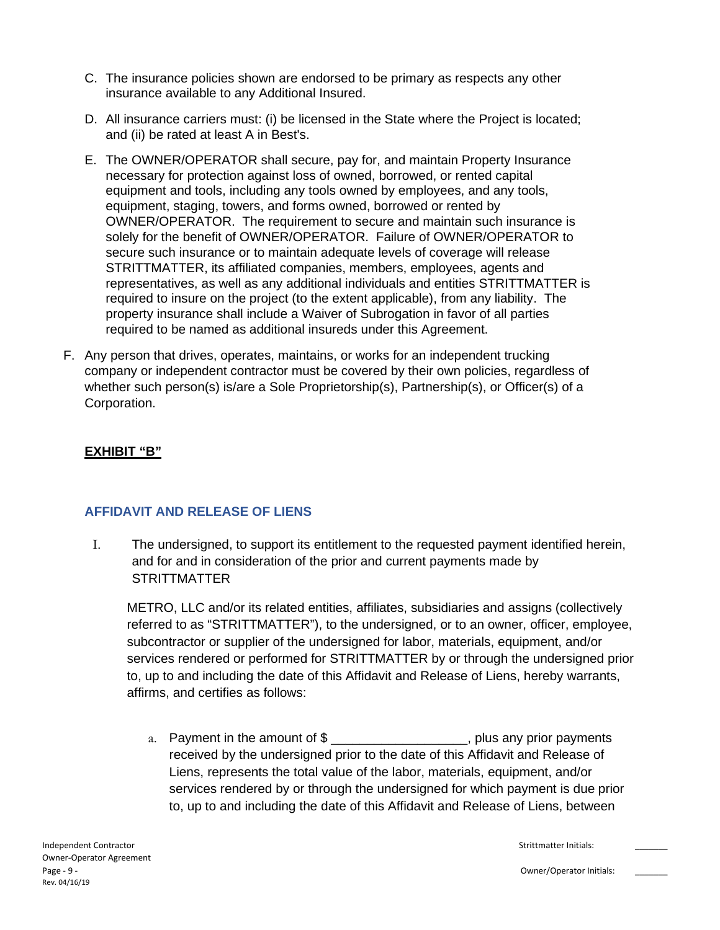- C. The insurance policies shown are endorsed to be primary as respects any other insurance available to any Additional Insured.
- D. All insurance carriers must: (i) be licensed in the State where the Project is located; and (ii) be rated at least A in Best's.
- E. The OWNER/OPERATOR shall secure, pay for, and maintain Property Insurance necessary for protection against loss of owned, borrowed, or rented capital equipment and tools, including any tools owned by employees, and any tools, equipment, staging, towers, and forms owned, borrowed or rented by OWNER/OPERATOR. The requirement to secure and maintain such insurance is solely for the benefit of OWNER/OPERATOR. Failure of OWNER/OPERATOR to secure such insurance or to maintain adequate levels of coverage will release STRITTMATTER, its affiliated companies, members, employees, agents and representatives, as well as any additional individuals and entities STRITTMATTER is required to insure on the project (to the extent applicable), from any liability. The property insurance shall include a Waiver of Subrogation in favor of all parties required to be named as additional insureds under this Agreement.
- F. Any person that drives, operates, maintains, or works for an independent trucking company or independent contractor must be covered by their own policies, regardless of whether such person(s) is/are a Sole Proprietorship(s), Partnership(s), or Officer(s) of a Corporation.

### **EXHIBIT "B"**

### **AFFIDAVIT AND RELEASE OF LIENS**

I. The undersigned, to support its entitlement to the requested payment identified herein, and for and in consideration of the prior and current payments made by **STRITTMATTER** 

METRO, LLC and/or its related entities, affiliates, subsidiaries and assigns (collectively referred to as "STRITTMATTER"), to the undersigned, or to an owner, officer, employee, subcontractor or supplier of the undersigned for labor, materials, equipment, and/or services rendered or performed for STRITTMATTER by or through the undersigned prior to, up to and including the date of this Affidavit and Release of Liens, hereby warrants, affirms, and certifies as follows:

a. Payment in the amount of  $\frac{1}{2}$  \_\_\_\_\_\_\_\_\_\_\_\_\_\_\_\_\_\_\_\_\_\_, plus any prior payments received by the undersigned prior to the date of this Affidavit and Release of Liens, represents the total value of the labor, materials, equipment, and/or services rendered by or through the undersigned for which payment is due prior to, up to and including the date of this Affidavit and Release of Liens, between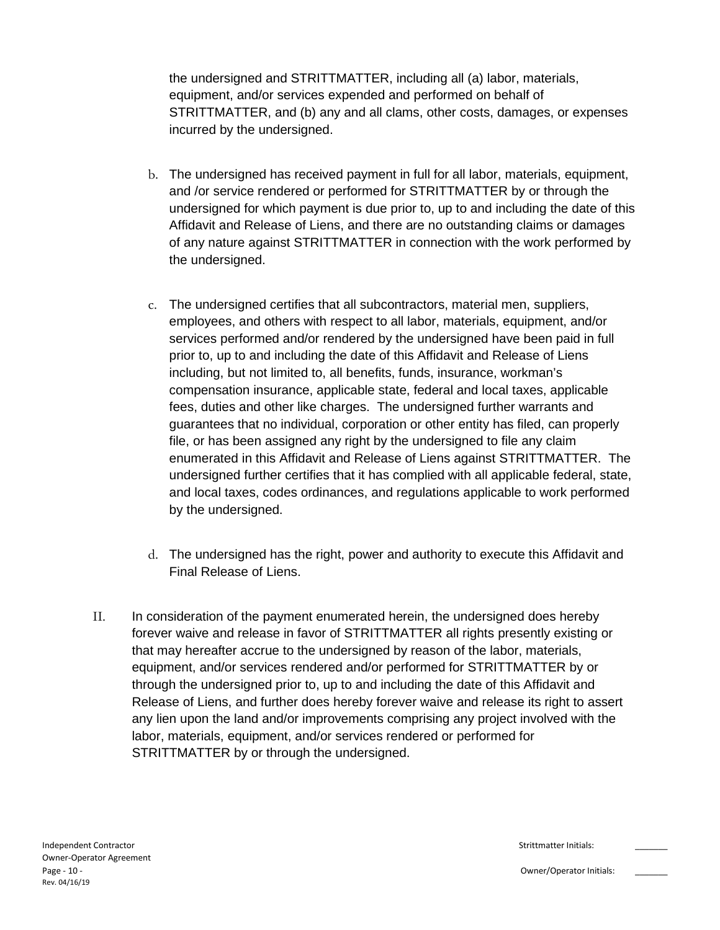the undersigned and STRITTMATTER, including all (a) labor, materials, equipment, and/or services expended and performed on behalf of STRITTMATTER, and (b) any and all clams, other costs, damages, or expenses incurred by the undersigned.

- b. The undersigned has received payment in full for all labor, materials, equipment, and /or service rendered or performed for STRITTMATTER by or through the undersigned for which payment is due prior to, up to and including the date of this Affidavit and Release of Liens, and there are no outstanding claims or damages of any nature against STRITTMATTER in connection with the work performed by the undersigned.
- c. The undersigned certifies that all subcontractors, material men, suppliers, employees, and others with respect to all labor, materials, equipment, and/or services performed and/or rendered by the undersigned have been paid in full prior to, up to and including the date of this Affidavit and Release of Liens including, but not limited to, all benefits, funds, insurance, workman's compensation insurance, applicable state, federal and local taxes, applicable fees, duties and other like charges. The undersigned further warrants and guarantees that no individual, corporation or other entity has filed, can properly file, or has been assigned any right by the undersigned to file any claim enumerated in this Affidavit and Release of Liens against STRITTMATTER. The undersigned further certifies that it has complied with all applicable federal, state, and local taxes, codes ordinances, and regulations applicable to work performed by the undersigned.
- d. The undersigned has the right, power and authority to execute this Affidavit and Final Release of Liens.
- II. In consideration of the payment enumerated herein, the undersigned does hereby forever waive and release in favor of STRITTMATTER all rights presently existing or that may hereafter accrue to the undersigned by reason of the labor, materials, equipment, and/or services rendered and/or performed for STRITTMATTER by or through the undersigned prior to, up to and including the date of this Affidavit and Release of Liens, and further does hereby forever waive and release its right to assert any lien upon the land and/or improvements comprising any project involved with the labor, materials, equipment, and/or services rendered or performed for STRITTMATTER by or through the undersigned.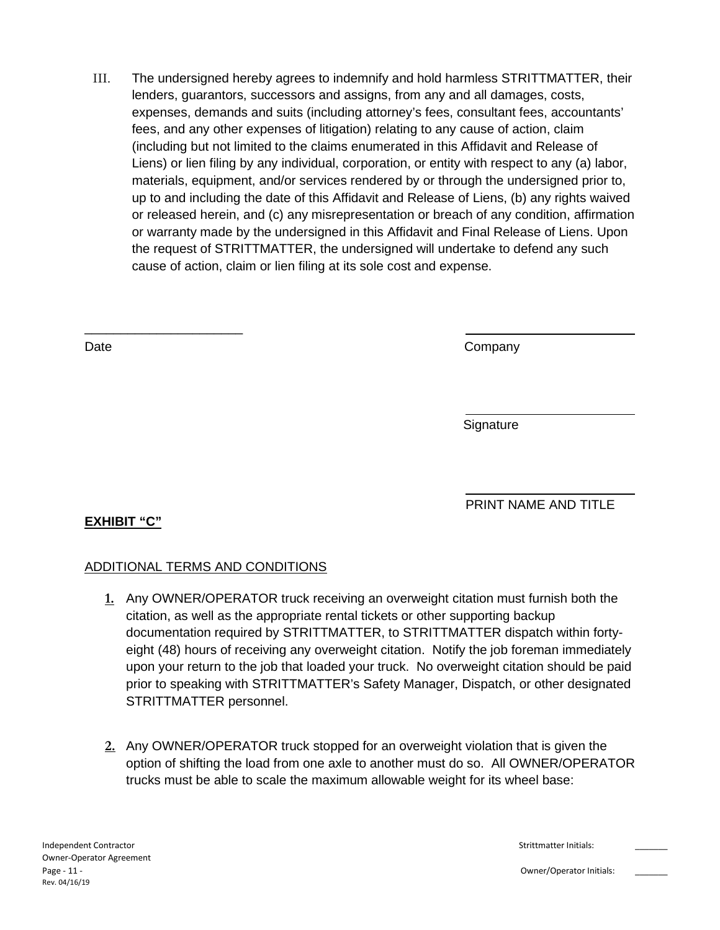III. The undersigned hereby agrees to indemnify and hold harmless STRITTMATTER, their lenders, guarantors, successors and assigns, from any and all damages, costs, expenses, demands and suits (including attorney's fees, consultant fees, accountants' fees, and any other expenses of litigation) relating to any cause of action, claim (including but not limited to the claims enumerated in this Affidavit and Release of Liens) or lien filing by any individual, corporation, or entity with respect to any (a) labor, materials, equipment, and/or services rendered by or through the undersigned prior to, up to and including the date of this Affidavit and Release of Liens, (b) any rights waived or released herein, and (c) any misrepresentation or breach of any condition, affirmation or warranty made by the undersigned in this Affidavit and Final Release of Liens. Upon the request of STRITTMATTER, the undersigned will undertake to defend any such cause of action, claim or lien filing at its sole cost and expense.

\_\_\_\_\_\_\_\_\_\_\_\_\_\_\_\_\_\_\_\_\_\_

Date **Company** 

**Signature** 

PRINT NAME AND TITLE

# **EXHIBIT "C"**

## ADDITIONAL TERMS AND CONDITIONS

- **1.** Any OWNER/OPERATOR truck receiving an overweight citation must furnish both the citation, as well as the appropriate rental tickets or other supporting backup documentation required by STRITTMATTER, to STRITTMATTER dispatch within fortyeight (48) hours of receiving any overweight citation. Notify the job foreman immediately upon your return to the job that loaded your truck. No overweight citation should be paid prior to speaking with STRITTMATTER's Safety Manager, Dispatch, or other designated STRITTMATTER personnel.
- **2.** Any OWNER/OPERATOR truck stopped for an overweight violation that is given the option of shifting the load from one axle to another must do so. All OWNER/OPERATOR trucks must be able to scale the maximum allowable weight for its wheel base: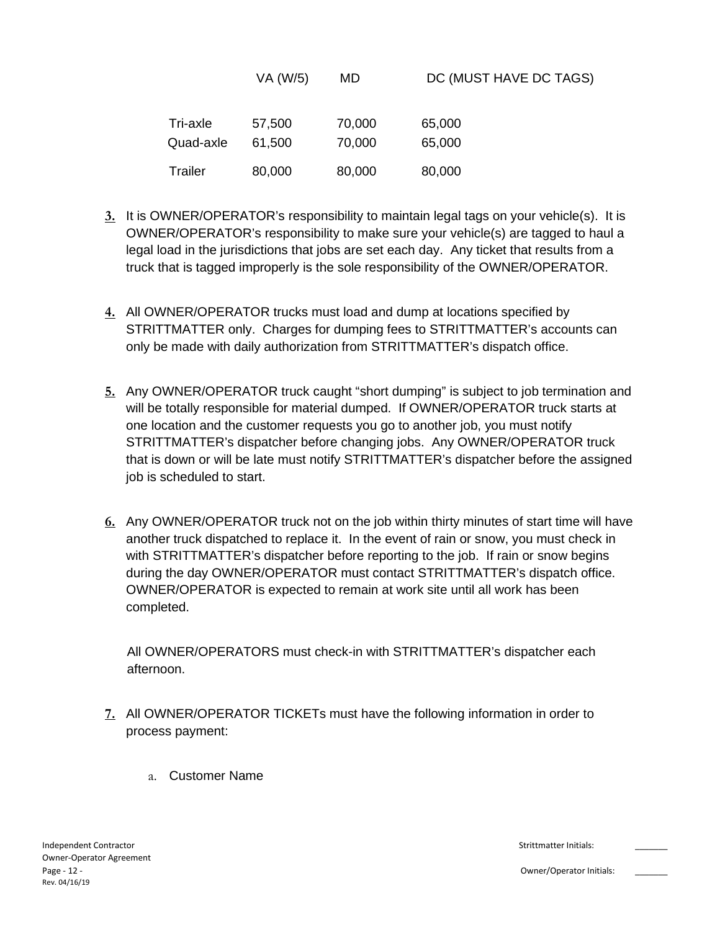|           | VA (W/5) | MD     | DC (MUST HAVE DC TAGS) |
|-----------|----------|--------|------------------------|
| Tri-axle  | 57,500   | 70,000 | 65,000                 |
| Quad-axle | 61,500   | 70,000 | 65,000                 |
| Trailer   | 80,000   | 80,000 | 80,000                 |

- **3.** It is OWNER/OPERATOR's responsibility to maintain legal tags on your vehicle(s). It is OWNER/OPERATOR's responsibility to make sure your vehicle(s) are tagged to haul a legal load in the jurisdictions that jobs are set each day. Any ticket that results from a truck that is tagged improperly is the sole responsibility of the OWNER/OPERATOR.
- **4.** All OWNER/OPERATOR trucks must load and dump at locations specified by STRITTMATTER only. Charges for dumping fees to STRITTMATTER's accounts can only be made with daily authorization from STRITTMATTER's dispatch office.
- **5.** Any OWNER/OPERATOR truck caught "short dumping" is subject to job termination and will be totally responsible for material dumped. If OWNER/OPERATOR truck starts at one location and the customer requests you go to another job, you must notify STRITTMATTER's dispatcher before changing jobs. Any OWNER/OPERATOR truck that is down or will be late must notify STRITTMATTER's dispatcher before the assigned job is scheduled to start.
- **6.** Any OWNER/OPERATOR truck not on the job within thirty minutes of start time will have another truck dispatched to replace it. In the event of rain or snow, you must check in with STRITTMATTER's dispatcher before reporting to the job. If rain or snow begins during the day OWNER/OPERATOR must contact STRITTMATTER's dispatch office. OWNER/OPERATOR is expected to remain at work site until all work has been completed.

All OWNER/OPERATORS must check-in with STRITTMATTER's dispatcher each afternoon.

- **7.** All OWNER/OPERATOR TICKETs must have the following information in order to process payment:
	- a. Customer Name